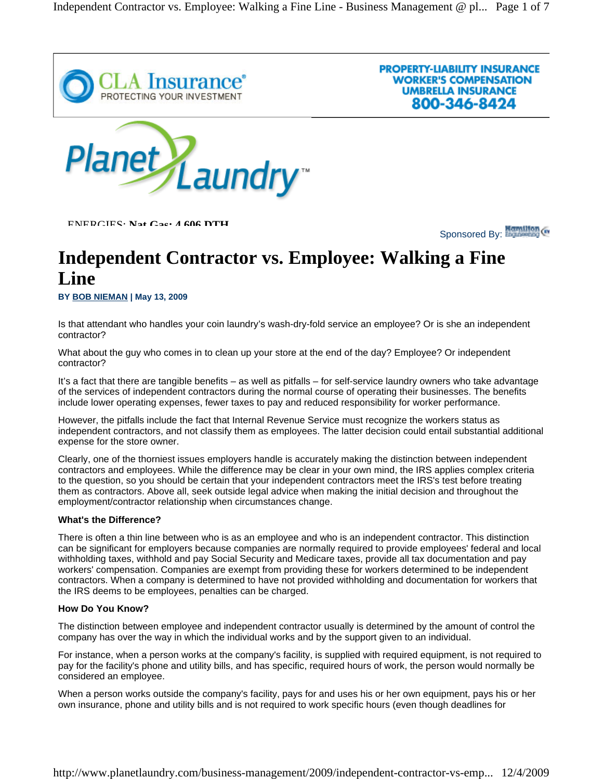

ENERGIES: **Nat Gas: 4 606 DTH**

Sponsored By: **Manufan** G

**PROPERTY-LIABILITY INSURANCE WORKER'S COMPENSATION UMBRELLA INSURANCE** 

800-346-8424

# **Independent Contractor vs. Employee: Walking a Fine Line**

**BY BOB NIEMAN | May 13, 2009** 

Is that attendant who handles your coin laundry's wash-dry-fold service an employee? Or is she an independent contractor?

What about the guy who comes in to clean up your store at the end of the day? Employee? Or independent contractor?

It's a fact that there are tangible benefits – as well as pitfalls – for self-service laundry owners who take advantage of the services of independent contractors during the normal course of operating their businesses. The benefits include lower operating expenses, fewer taxes to pay and reduced responsibility for worker performance.

However, the pitfalls include the fact that Internal Revenue Service must recognize the workers status as independent contractors, and not classify them as employees. The latter decision could entail substantial additional expense for the store owner.

Clearly, one of the thorniest issues employers handle is accurately making the distinction between independent contractors and employees. While the difference may be clear in your own mind, the IRS applies complex criteria to the question, so you should be certain that your independent contractors meet the IRS's test before treating them as contractors. Above all, seek outside legal advice when making the initial decision and throughout the employment/contractor relationship when circumstances change.

#### **What's the Difference?**

There is often a thin line between who is as an employee and who is an independent contractor. This distinction can be significant for employers because companies are normally required to provide employees' federal and local withholding taxes, withhold and pay Social Security and Medicare taxes, provide all tax documentation and pay workers' compensation. Companies are exempt from providing these for workers determined to be independent contractors. When a company is determined to have not provided withholding and documentation for workers that the IRS deems to be employees, penalties can be charged.

#### **How Do You Know?**

The distinction between employee and independent contractor usually is determined by the amount of control the company has over the way in which the individual works and by the support given to an individual.

For instance, when a person works at the company's facility, is supplied with required equipment, is not required to pay for the facility's phone and utility bills, and has specific, required hours of work, the person would normally be considered an employee.

When a person works outside the company's facility, pays for and uses his or her own equipment, pays his or her own insurance, phone and utility bills and is not required to work specific hours (even though deadlines for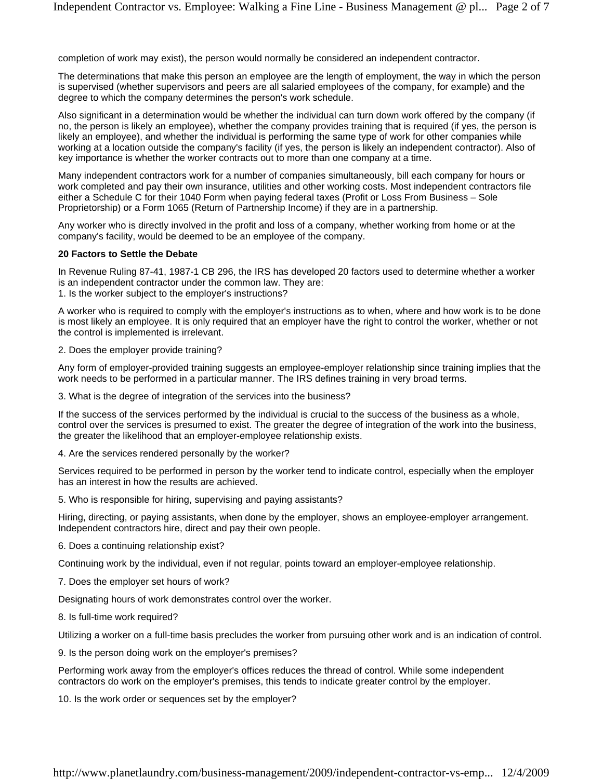completion of work may exist), the person would normally be considered an independent contractor.

The determinations that make this person an employee are the length of employment, the way in which the person is supervised (whether supervisors and peers are all salaried employees of the company, for example) and the degree to which the company determines the person's work schedule.

Also significant in a determination would be whether the individual can turn down work offered by the company (if no, the person is likely an employee), whether the company provides training that is required (if yes, the person is likely an employee), and whether the individual is performing the same type of work for other companies while working at a location outside the company's facility (if yes, the person is likely an independent contractor). Also of key importance is whether the worker contracts out to more than one company at a time.

Many independent contractors work for a number of companies simultaneously, bill each company for hours or work completed and pay their own insurance, utilities and other working costs. Most independent contractors file either a Schedule C for their 1040 Form when paying federal taxes (Profit or Loss From Business – Sole Proprietorship) or a Form 1065 (Return of Partnership Income) if they are in a partnership.

Any worker who is directly involved in the profit and loss of a company, whether working from home or at the company's facility, would be deemed to be an employee of the company.

#### **20 Factors to Settle the Debate**

In Revenue Ruling 87-41, 1987-1 CB 296, the IRS has developed 20 factors used to determine whether a worker is an independent contractor under the common law. They are:

1. Is the worker subject to the employer's instructions?

A worker who is required to comply with the employer's instructions as to when, where and how work is to be done is most likely an employee. It is only required that an employer have the right to control the worker, whether or not the control is implemented is irrelevant.

#### 2. Does the employer provide training?

Any form of employer-provided training suggests an employee-employer relationship since training implies that the work needs to be performed in a particular manner. The IRS defines training in very broad terms.

3. What is the degree of integration of the services into the business?

If the success of the services performed by the individual is crucial to the success of the business as a whole, control over the services is presumed to exist. The greater the degree of integration of the work into the business, the greater the likelihood that an employer-employee relationship exists.

4. Are the services rendered personally by the worker?

Services required to be performed in person by the worker tend to indicate control, especially when the employer has an interest in how the results are achieved.

5. Who is responsible for hiring, supervising and paying assistants?

Hiring, directing, or paying assistants, when done by the employer, shows an employee-employer arrangement. Independent contractors hire, direct and pay their own people.

6. Does a continuing relationship exist?

Continuing work by the individual, even if not regular, points toward an employer-employee relationship.

7. Does the employer set hours of work?

Designating hours of work demonstrates control over the worker.

8. Is full-time work required?

Utilizing a worker on a full-time basis precludes the worker from pursuing other work and is an indication of control.

9. Is the person doing work on the employer's premises?

Performing work away from the employer's offices reduces the thread of control. While some independent contractors do work on the employer's premises, this tends to indicate greater control by the employer.

10. Is the work order or sequences set by the employer?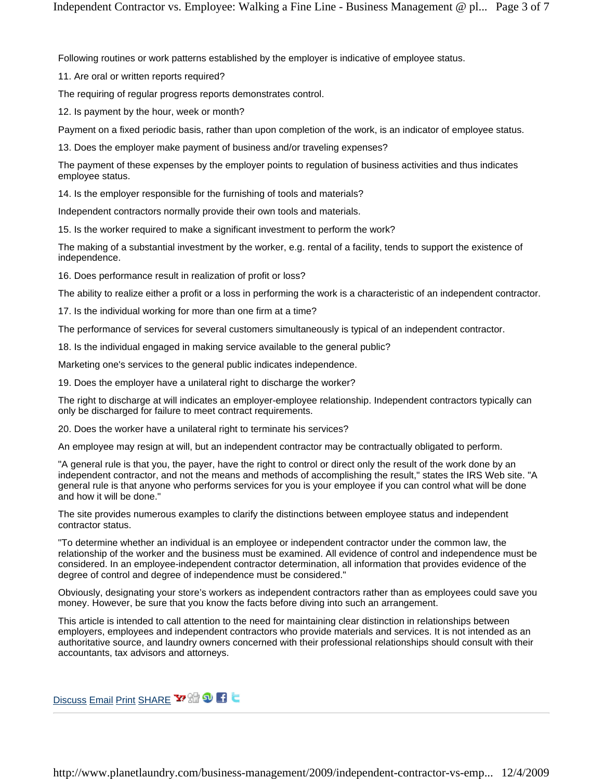Following routines or work patterns established by the employer is indicative of employee status.

11. Are oral or written reports required?

The requiring of regular progress reports demonstrates control.

12. Is payment by the hour, week or month?

Payment on a fixed periodic basis, rather than upon completion of the work, is an indicator of employee status.

13. Does the employer make payment of business and/or traveling expenses?

The payment of these expenses by the employer points to regulation of business activities and thus indicates employee status.

14. Is the employer responsible for the furnishing of tools and materials?

Independent contractors normally provide their own tools and materials.

15. Is the worker required to make a significant investment to perform the work?

The making of a substantial investment by the worker, e.g. rental of a facility, tends to support the existence of independence.

16. Does performance result in realization of profit or loss?

The ability to realize either a profit or a loss in performing the work is a characteristic of an independent contractor.

17. Is the individual working for more than one firm at a time?

The performance of services for several customers simultaneously is typical of an independent contractor.

18. Is the individual engaged in making service available to the general public?

Marketing one's services to the general public indicates independence.

19. Does the employer have a unilateral right to discharge the worker?

The right to discharge at will indicates an employer-employee relationship. Independent contractors typically can only be discharged for failure to meet contract requirements.

20. Does the worker have a unilateral right to terminate his services?

An employee may resign at will, but an independent contractor may be contractually obligated to perform.

"A general rule is that you, the payer, have the right to control or direct only the result of the work done by an independent contractor, and not the means and methods of accomplishing the result," states the IRS Web site. "A general rule is that anyone who performs services for you is your employee if you can control what will be done and how it will be done."

The site provides numerous examples to clarify the distinctions between employee status and independent contractor status.

"To determine whether an individual is an employee or independent contractor under the common law, the relationship of the worker and the business must be examined. All evidence of control and independence must be considered. In an employee-independent contractor determination, all information that provides evidence of the degree of control and degree of independence must be considered."

Obviously, designating your store's workers as independent contractors rather than as employees could save you money. However, be sure that you know the facts before diving into such an arrangement.

This article is intended to call attention to the need for maintaining clear distinction in relationships between employers, employees and independent contractors who provide materials and services. It is not intended as an authoritative source, and laundry owners concerned with their professional relationships should consult with their accountants, tax advisors and attorneys.

Discuss Email Print SHARE Y H 9 1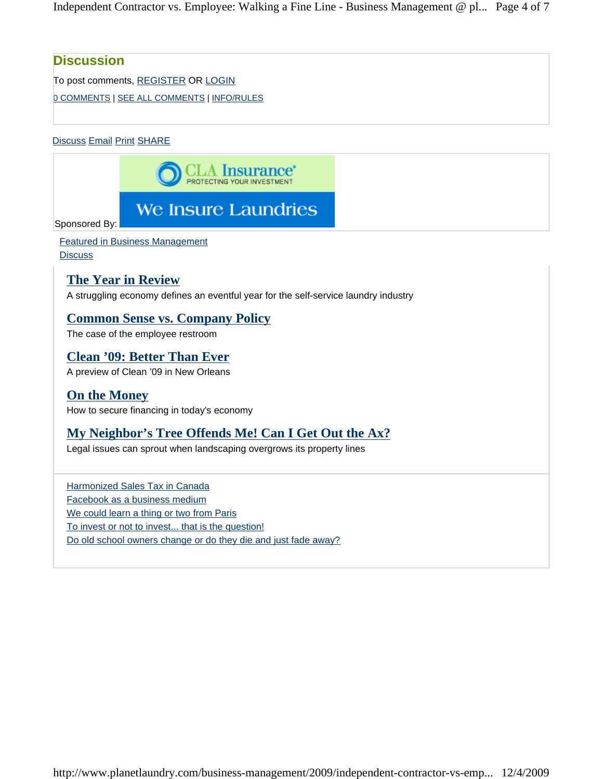Independent Contractor vs. Employee: Walking a Fine Line - Business Management @ pl... Page 4 of 7

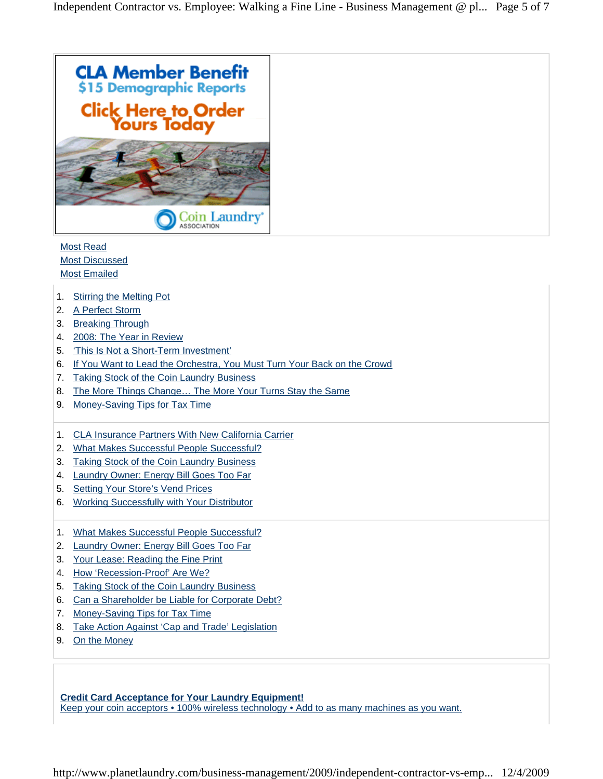

Most Read Most Discussed Most Emailed

- 1. Stirring the Melting Pot
- 2. A Perfect Storm
- 3. Breaking Through
- 4. 2008: The Year in Review
- 5. 'This Is Not a Short-Term Investment'
- 6. If You Want to Lead the Orchestra, You Must Turn Your Back on the Crowd
- 7. Taking Stock of the Coin Laundry Business
- 8. The More Things Change… The More Your Turns Stay the Same
- 9. Money-Saving Tips for Tax Time
- 1. CLA Insurance Partners With New California Carrier
- 2. What Makes Successful People Successful?
- 3. Taking Stock of the Coin Laundry Business
- 4. Laundry Owner: Energy Bill Goes Too Far
- 5. Setting Your Store's Vend Prices
- 6. Working Successfully with Your Distributor
- 1. What Makes Successful People Successful?
- 2. Laundry Owner: Energy Bill Goes Too Far
- 3. Your Lease: Reading the Fine Print
- 4. How 'Recession-Proof' Are We?
- 5. Taking Stock of the Coin Laundry Business
- 6. Can a Shareholder be Liable for Corporate Debt?
- 7. Money-Saving Tips for Tax Time
- 8. Take Action Against 'Cap and Trade' Legislation
- 9. On the Money

**Credit Card Acceptance for Your Laundry Equipment!** Keep your coin acceptors • 100% wireless technology • Add to as many machines as you want.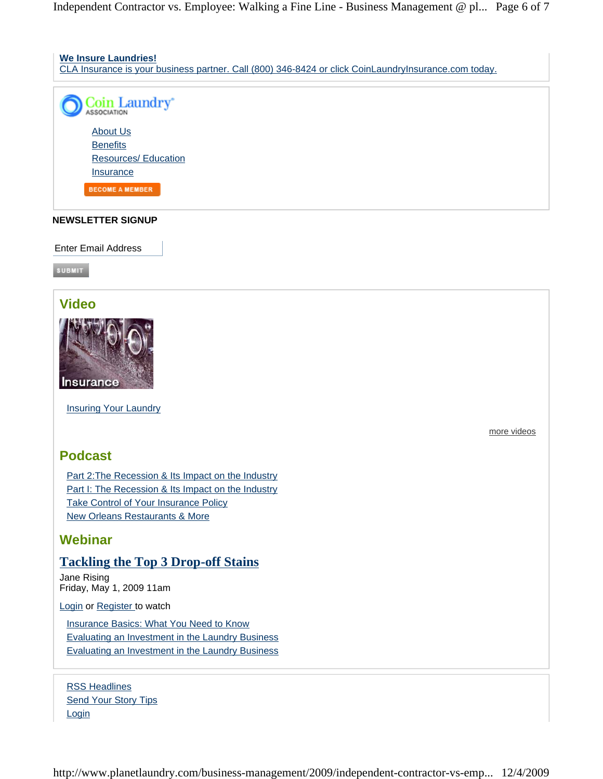Independent Contractor vs. Employee: Walking a Fine Line - Business Management @ pl... Page 6 of 7



#### **NEWSLETTER SIGNUP**

Enter Email Address

**SUBMIT** 

# **Video**



Insuring Your Laundry

# more videos

# **Podcast**

Part 2:The Recession & Its Impact on the Industry Part I: The Recession & Its Impact on the Industry Take Control of Your Insurance Policy New Orleans Restaurants & More

# **Webinar**

### **Tackling the Top 3 Drop-off Stains**

Jane Rising Friday, May 1, 2009 11am

Login or Register to watch

Insurance Basics: What You Need to Know Evaluating an Investment in the Laundry Business Evaluating an Investment in the Laundry Business

RSS Headlines Send Your Story Tips **Login** 

http://www.planetlaundry.com/business-management/2009/independent-contractor-vs-emp... 12/4/2009